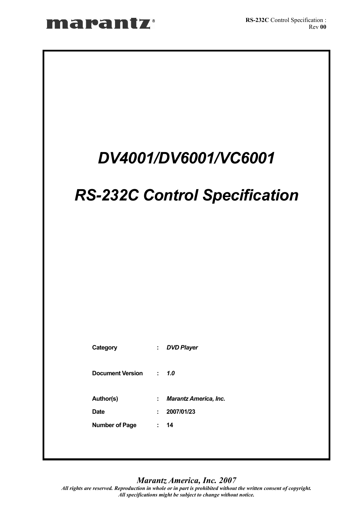# *DV4001/DV6001/VC6001 RS-232C Control Specification*   **Category :** *DVD Player*  **Document Version :** *1.0*  **Author(s) :** *Marantz America, Inc.*  **Date : 2007/01/23 Number of Page : 14**

*Marantz America, Inc. 2007*

*All rights are reserved. Reproduction in whole or in part is prohibited without the written consent of copyright. All specifications might be subject to change without notice.*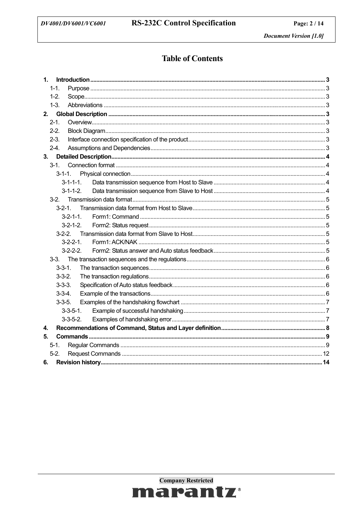# **Table of Contents**

| $\mathbf{1}$      |  |
|-------------------|--|
| $1 - 1$ .         |  |
| $1-2.$            |  |
| $1-3.$            |  |
|                   |  |
| $2 - 1$ .         |  |
| $2 - 2$ .         |  |
| $2-3.$            |  |
| $2-4.$            |  |
| 3.                |  |
| $3 - 1$           |  |
| $3 - 1 - 1$ .     |  |
|                   |  |
|                   |  |
|                   |  |
| $3 - 2 - 1$ .     |  |
| $3 - 2 - 1 - 1$ . |  |
| $3-2-1-2$ .       |  |
|                   |  |
| $3 - 2 - 2 - 1$ . |  |
| $3 - 2 - 2 - 2$ . |  |
|                   |  |
| $3 - 3 - 1$ .     |  |
| $3 - 3 - 2$ .     |  |
| $3 - 3 - 3$ .     |  |
| $3-3-4.$          |  |
| $3 - 3 - 5$ .     |  |
| $3 - 3 - 5 - 1$ . |  |
| $3-3-5-2$ .       |  |
| 4.                |  |
| 5.                |  |
| $5-1.$<br>$5-2.$  |  |
|                   |  |
| 6.                |  |

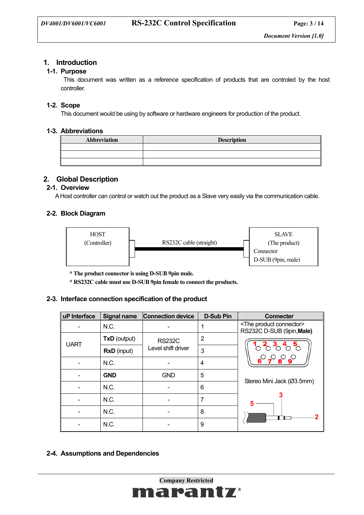## **1. Introduction**

## **1-1. Purpose**

 This document was written as a reference specification of products that are controled by the host controller.

## **1-2. Scope**

This document would be using by software or hardware engineers for production of the product.

## **1-3. Abbreviations**

| <b>Abbreviation</b> | <b>Description</b> |
|---------------------|--------------------|
|                     |                    |
|                     |                    |
|                     |                    |

## **2. Global Description**

## **2-1. Overview**

A Host controller can control or watch out the product as a Slave very easily via the communication cable.

## **2-2. Block Diagram**



**\* The product connector is using D-SUB 9pin male.** 

 **\* RS232C cable must use D-SUB 9pin female to connect the products.** 

## **2-3. Interface connection specification of the product**

| uP Interface | <b>Signal name</b> | <b>Connection device</b> | <b>D-Sub Pin</b> | <b>Connecter</b>                                                  |
|--------------|--------------------|--------------------------|------------------|-------------------------------------------------------------------|
|              | N.C.               |                          |                  | <the connector="" product=""><br/>RS232C D-SUB (9pin, Male)</the> |
| <b>UART</b>  | TxD (output)       | <b>RS232C</b>            | 2                |                                                                   |
|              | <b>RxD</b> (input) | Level shift driver       | 3                |                                                                   |
|              | N.C.               |                          | 4                |                                                                   |
|              | <b>GND</b>         | <b>GND</b>               | 5                | Stereo Mini Jack (Ø3.5mm)                                         |
|              | N.C.               |                          | 6                |                                                                   |
|              | N.C.               |                          | 7                |                                                                   |
|              | N.C.               |                          | 8                | - IT                                                              |
|              | N.C.               |                          | 9                |                                                                   |

 **2-4. Assumptions and Dependencies** 

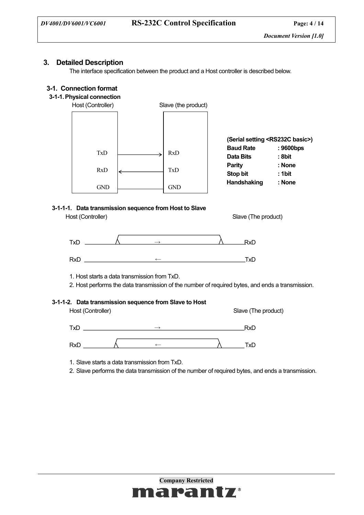## **3. Detailed Description**

The interface specification between the product and a Host controller is described below.

## **3-1. Connection format**



## **3-1-1-1. Data transmission sequence from Host to Slave**

Host (Controller) Slave (The product)



1. Host starts a data transmission from TxD.

2. Host performs the data transmission of the number of required bytes, and ends a transmission.

## **3-1-1-2. Data transmission sequence from Slave to Host**

Host (Controller) Slave (The product)

 $\overrightarrow{ }$  RxD  $RxD \qquad \qquad \wedge \qquad \qquad \leftarrow \qquad \qquad \wedge \qquad \qquad TxD$ 

1. Slave starts a data transmission from TxD.

2. Slave performs the data transmission of the number of required bytes, and ends a transmission.

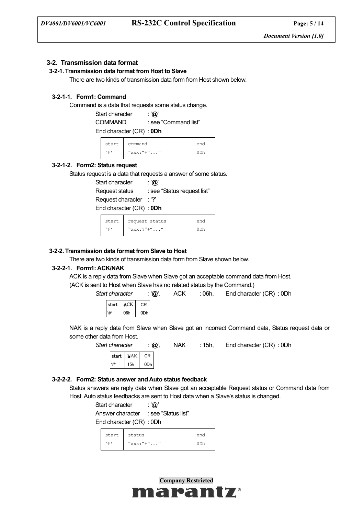## **3-2. Transmission data format**

#### **3-2-1. Transmission data format from Host to Slave**

There are two kinds of transmission data form from Host shown below.

## **3-2-1-1. Form1: Command**

Command is a data that requests some status change.

Start character : '**@**'

 COMMAND : see "Command list" End character (CR) : **0Dh**

| start | command          | end |
|-------|------------------|-----|
| 1 Q 1 | $``xxxx:''+''''$ | ∩nh |

## **3-2-1-2. Form2: Status request**

Status request is a data that requests a answer of some status.

Start character : '**@**'

Request status : see "Status request list"

Request character : '?'

End character (CR) : **0Dh**

| start | request status    | end |  |
|-------|-------------------|-----|--|
| 1 Q 1 | $``xxxx:?''+''''$ |     |  |

## **3-2-2. Transmission data format from Slave to Host**

There are two kinds of transmission data form from Slave shown below.

## **3-2-2-1. Form1: ACK/NAK**

ACK is a reply data from Slave when Slave got an acceptable command data from Host. (ACK is sent to Host when Slave has no related status by the Command.)

*Start character : '@',* ACK : 06h, End character (CR) : 0Dh

| start | ACK. | CR. |  |
|-------|------|-----|--|
| @,    | 06h  | 0Dh |  |

NAK is a reply data from Slave when Slave got an incorrect Command data, Status request data or some other data from Host.

> CR start

*Start character : '@',* NAK : 15h, End character (CR) : 0Dh

| start | NAK | CR. |  |
|-------|-----|-----|--|
| æ     | 15h | 0Dh |  |

# **3-2-2-2. Form2: Status answer and Auto status feedback**

Status answers are reply data when Slave got an acceptable Request status or Command data from Host. Auto status feedbacks are sent to Host data when a Slave's status is changed.

| Start character         | : ' $@$ '           |
|-------------------------|---------------------|
| Answer character        | : see "Status list" |
| End character (CR): 0Dh |                     |

| start | status          | end |
|-------|-----------------|-----|
| ۱۵′   | $``xxx:''+''''$ |     |

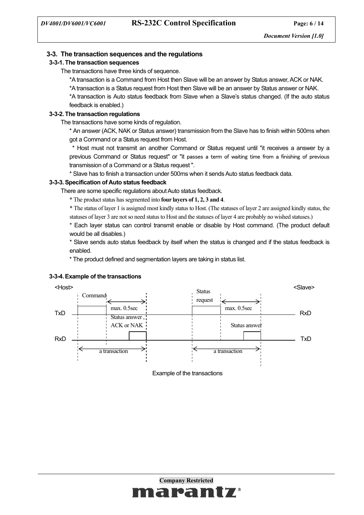## **3-3. The transaction sequences and the regulations**

## **3-3-1. The transaction sequences**

The transactions have three kinds of sequence.

\*A transaction is a Command from Host then Slave will be an answer by Status answer, ACK or NAK.

\*A transaction is a Status request from Host then Slave will be an answer by Status answer or NAK.

\*A transaction is Auto status feedback from Slave when a Slave's status changed. (If the auto status feedback is enabled.)

## **3-3-2. The transaction regulations**

The transactions have some kinds of regulation.

\* An answer (ACK, NAK or Status answer) transmission from the Slave has to finish within 500ms when got a Command or a Status request from Host.

 \* Host must not transmit an another Command or Status request until "it receives a answer by a previous Command or Status request" or "it passes a term of waiting time from a finishing of previous transmission of a Command or a Status request ".

\* Slave has to finish a transaction under 500ms when it sends Auto status feedback data.

## **3-3-3. Specification of Auto status feedback**

There are some specific regulations about Auto status feedback.

\* The product status has segmented into **four layers of 1, 2, 3 and 4**.

\* The status of layer 1 is assigned most kindly status to Host. (The statuses of layer 2 are assigned kindly status, the statuses of layer 3 are not so need status to Host and the statuses of layer 4 are probably no wished statuses.)

\* Each layer status can control transmit enable or disable by Host command. (The product default would be all disables.)

\* Slave sends auto status feedback by itself when the status is changed and if the status feedback is enabled.

\* The product defined and segmentation layers are taking in status list.



 **3-3-4. Example of the transactions** 

Example of the transactions

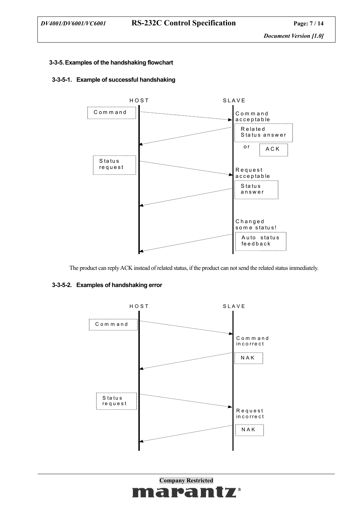## **3-3-5. Examples of the handshaking flowchart**

## **3-3-5-1. Example of successful handshaking**



The product can reply ACK instead of related status, if the product can not send the related status immediately.

## **3-3-5-2. Examples of handshaking error**



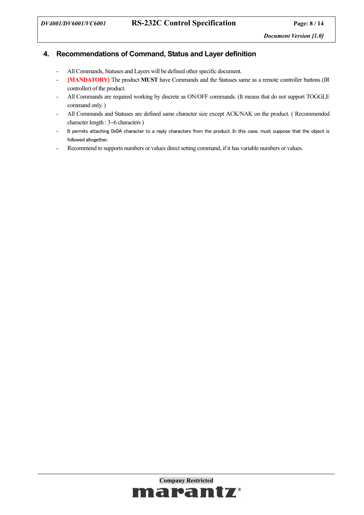# **4. Recommendations of Command, Status and Layer definition**

- All Commands, Statuses and Layers will be defined other specific document.
- **[MANDATORY]** The product **MUST** have Commands and the Statuses same as a remote controller buttons (IR controller) of the product.
- All Commands are required working by discrete as ON/OFF commands. (It means that do not support TOGGLE command only. )
- All Commands and Statuses are defined same character size except ACK/NAK on the product. ( Recommended character length : 3~6 characters )
- It permits attaching 0x0A character to a reply characters from the product. In this case, must suppose that the object is followed altogether.
- Recommend to supports numbers or values direct setting command, if it has variable numbers or values.

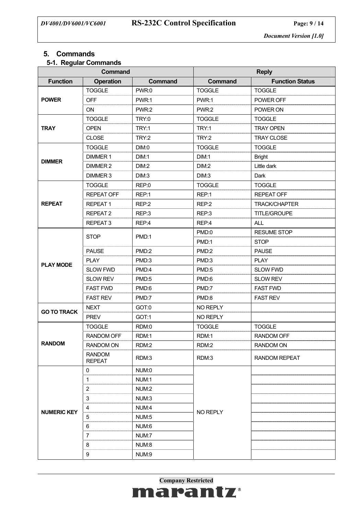## **5. Commands**

## **5-1. Regular Commands**

| <b>Command</b>     |                                | <b>Reply</b> |               |                        |
|--------------------|--------------------------------|--------------|---------------|------------------------|
| <b>Function</b>    | <b>Operation</b>               | Command      | Command       | <b>Function Status</b> |
|                    | <b>TOGGLE</b>                  | PWR:0        | <b>TOGGLE</b> | <b>TOGGLE</b>          |
| <b>POWER</b>       | <b>OFF</b>                     | PWR:1        | PWR:1         | POWER OFF              |
|                    | <b>ON</b>                      | PWR:2        | PWR:2         | POWER ON               |
|                    | <b>TOGGLE</b>                  | TRY:0        | <b>TOGGLE</b> | <b>TOGGLE</b>          |
| <b>TRAY</b>        | <b>OPEN</b>                    | TRY:1        | TRY:1         | <b>TRAY OPEN</b>       |
|                    | <b>CLOSE</b>                   | TRY:2        | TRY:2         | <b>TRAY CLOSE</b>      |
|                    | <b>TOGGLE</b>                  | DIM:0        | <b>TOGGLE</b> | <b>TOGGLE</b>          |
|                    | <b>DIMMER 1</b>                | DIM:1        | DIM:1         | <b>Bright</b>          |
| <b>DIMMER</b>      | DIMMER 2                       | DIM:2        | DIM:2         | Little dark            |
|                    | DIMMER 3                       | DIM:3        | DIM:3         | Dark                   |
|                    | <b>TOGGLE</b>                  | REP:0        | <b>TOGGLE</b> | <b>TOGGLE</b>          |
|                    | <b>REPEAT OFF</b>              | REP:1        | REP:1         | <b>REPEAT OFF</b>      |
| <b>REPEAT</b>      | <b>REPEAT1</b>                 | REP:2        | REP:2         | <b>TRACK/CHAPTER</b>   |
|                    | REPEAT 2                       | REP:3        | REP:3         | TITLE/GROUPE           |
|                    | REPEAT <sub>3</sub>            | REP:4        | REP:4         | <b>ALL</b>             |
|                    | <b>STOP</b>                    | PMD:1        | PMD:0         | <b>RESUME STOP</b>     |
|                    |                                |              | PMD:1         | <b>STOP</b>            |
|                    | <b>PAUSE</b>                   | PMD:2        | PMD:2         | <b>PAUSE</b>           |
| <b>PLAY MODE</b>   | <b>PLAY</b>                    | PMD:3        | PMD:3         | <b>PLAY</b>            |
|                    | <b>SLOW FWD</b>                | PMD:4        | PMD:5         | <b>SLOW FWD</b>        |
|                    | <b>SLOW REV</b>                | PMD:5        | PMD:6         | <b>SLOW REV</b>        |
|                    | <b>FAST FWD</b>                | PMD:6        | PMD:7         | <b>FAST FWD</b>        |
|                    | <b>FAST REV</b>                | PMD:7        | PMD:8         | <b>FAST REV</b>        |
| <b>GO TO TRACK</b> | <b>NEXT</b>                    | GOT:0        | NO REPLY      |                        |
|                    | <b>PREV</b>                    | GOT:1        | NO REPLY      |                        |
|                    | <b>TOGGLE</b>                  | RDM:0        | <b>TOGGLE</b> | <b>TOGGLE</b>          |
|                    | <b>RANDOM OFF</b>              | RDM:1        | RDM:1         | <b>RANDOM OFF</b>      |
| <b>RANDOM</b>      | RANDOM ON                      | RDM:2        | RDM:2         | RANDOM ON              |
|                    | <b>RANDOM</b><br><b>REPEAT</b> | RDM:3        | RDM:3         | <b>RANDOM REPEAT</b>   |
|                    | 0                              | NUM:0        |               |                        |
|                    | 1                              | NUM:1        |               |                        |
|                    | $\overline{c}$                 | NUM:2        |               |                        |
|                    | 3                              | NUM:3        |               |                        |
| <b>NUMERIC KEY</b> | 4                              | NUM:4        | NO REPLY      |                        |
|                    | 5                              | NUM:5        |               |                        |
|                    | 6                              | NUM:6        |               |                        |
|                    | 7                              | NUM:7        |               |                        |
|                    | 8                              | NUM:8        |               |                        |
|                    | 9                              | NUM:9        |               |                        |

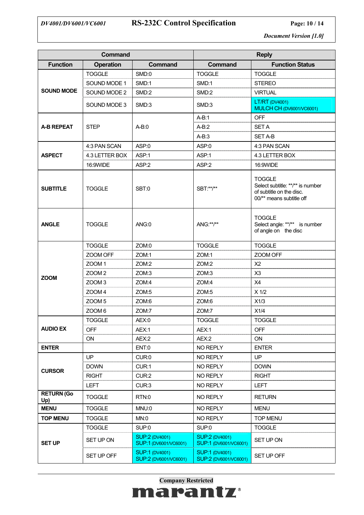

# *DV4001/DV6001/VC6001* **RS-232C Control Specification Page: 10 / 14**

*Document Version [1.0]*

|                          | <b>Command</b>    |                                                |                                                | <b>Reply</b>                                                                                              |
|--------------------------|-------------------|------------------------------------------------|------------------------------------------------|-----------------------------------------------------------------------------------------------------------|
| <b>Function</b>          | <b>Operation</b>  | Command                                        | Command                                        | <b>Function Status</b>                                                                                    |
|                          | <b>TOGGLE</b>     | SMD:0                                          | <b>TOGGLE</b>                                  | <b>TOGGLE</b>                                                                                             |
|                          | SOUND MODE 1      | SMD:1                                          | SMD:1                                          | <b>STEREO</b>                                                                                             |
| <b>SOUND MODE</b>        | SOUND MODE 2      | SMD:2                                          | SMD:2                                          | <b>VIRTUAL</b>                                                                                            |
|                          | SOUND MODE 3      | SMD:3                                          | SMD:3                                          | <b>LT/RT (DV4001)</b><br>MULCH CH (DV6001/VC6001)                                                         |
|                          |                   |                                                | $A-B:1$                                        | <b>OFF</b>                                                                                                |
| <b>A-B REPEAT</b>        | <b>STEP</b>       | $A-B:0$                                        | $A-B:2$                                        | <b>SET A</b>                                                                                              |
|                          |                   |                                                | $A-B:3$                                        | <b>SET A-B</b>                                                                                            |
|                          | 4:3 PAN SCAN      | ASP:0                                          | ASP:0                                          | 4:3 PAN SCAN                                                                                              |
| <b>ASPECT</b>            | 4.3 LETTER BOX    | ASP:1                                          | ASP:1                                          | 4.3 LETTER BOX                                                                                            |
|                          | 16:9WIDE          | ASP:2                                          | ASP:2                                          | 16:9WIDE                                                                                                  |
| <b>SUBTITLE</b>          | <b>TOGGLE</b>     | SBT:0                                          | SBT:**/**                                      | <b>TOGGLE</b><br>Select subtitle: **/** is number<br>of subtitle on the disc.<br>00/** means subtitle off |
| <b>ANGLE</b>             | <b>TOGGLE</b>     | ANG:0                                          | ANG:**/**                                      | <b>TOGGLE</b><br>Select angle: **/** is number<br>of angle on the disc                                    |
|                          | <b>TOGGLE</b>     | ZOM:0                                          | <b>TOGGLE</b>                                  | <b>TOGGLE</b>                                                                                             |
|                          | ZOOM OFF          | ZOM:1                                          | ZOM:1                                          | ZOOM OFF                                                                                                  |
|                          | ZOOM <sub>1</sub> | ZOM:2                                          | ZOM:2                                          | X <sub>2</sub>                                                                                            |
| <b>ZOOM</b>              | ZOOM <sub>2</sub> | ZOM:3                                          | ZOM:3                                          | X <sub>3</sub>                                                                                            |
|                          | ZOOM <sub>3</sub> | ZOM:4                                          | ZOM:4                                          | X4                                                                                                        |
|                          | ZOOM <sub>4</sub> | ZOM:5                                          | ZOM:5                                          | $X$ 1/2                                                                                                   |
|                          | ZOOM <sub>5</sub> | ZOM:6                                          | ZOM:6                                          | X1/3                                                                                                      |
|                          | ZOOM <sub>6</sub> | ZOM:7                                          | ZOM:7                                          | X1/4                                                                                                      |
|                          | <b>TOGGLE</b>     | AEX:0                                          | <b>TOGGLE</b>                                  | <b>TOGGLE</b>                                                                                             |
| <b>AUDIO EX</b>          | <b>OFF</b>        | AEX:1                                          | AEX:1                                          | <b>OFF</b>                                                                                                |
|                          | <b>ON</b>         | AEX:2                                          | AEX:2                                          | ON                                                                                                        |
| <b>ENTER</b>             |                   | ENT:0                                          | NO REPLY                                       | <b>ENTER</b>                                                                                              |
|                          | <b>UP</b>         | CUR:0                                          | NO REPLY                                       | <b>UP</b>                                                                                                 |
| <b>CURSOR</b>            | <b>DOWN</b>       | CUR:1                                          | NO REPLY                                       | <b>DOWN</b>                                                                                               |
|                          | <b>RIGHT</b>      | CUR:2                                          | NO REPLY                                       | <b>RIGHT</b>                                                                                              |
|                          | <b>LEFT</b>       | CUR:3                                          | NO REPLY                                       | <b>LEFT</b>                                                                                               |
| <b>RETURN (Go</b><br>Up) | <b>TOGGLE</b>     | RTN:0                                          | NO REPLY                                       | <b>RETURN</b>                                                                                             |
| <b>MENU</b>              | <b>TOGGLE</b>     | MNU:0                                          | NO REPLY                                       | <b>MENU</b>                                                                                               |
| <b>TOP MENU</b>          | <b>TOGGLE</b>     | MN:0                                           | NO REPLY                                       | <b>TOP MENU</b>                                                                                           |
|                          | <b>TOGGLE</b>     | SUP:0                                          | SUP:0                                          | <b>TOGGLE</b>                                                                                             |
| <b>SET UP</b>            | SET UP ON         | <b>SUP:2 (DV4001)</b><br>SUP:1 (DV6001/VC6001) | <b>SUP:2 (DV4001)</b><br>SUP:1 (DV6001/VC6001) | SET UP ON                                                                                                 |
|                          | SET UP OFF        | <b>SUP:1 (DV4001)</b><br>SUP:2 (DV6001/VC6001) | <b>SUP:1 (DV4001)</b><br>SUP:2 (DV6001/VC6001) | SET UP OFF                                                                                                |

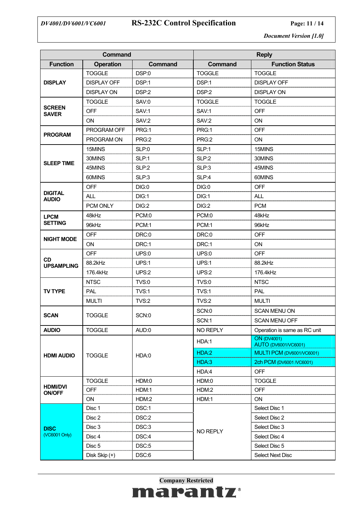# *DV4001/DV6001/VC6001* **RS-232C Control Specification Page: 11 / 14**

*Document Version [1.0]*

| Command                        |                    |                | <b>Reply</b>   |                                                   |
|--------------------------------|--------------------|----------------|----------------|---------------------------------------------------|
| <b>Function</b>                | <b>Operation</b>   | <b>Command</b> | <b>Command</b> | <b>Function Status</b>                            |
|                                | <b>TOGGLE</b>      | DSP:0          | <b>TOGGLE</b>  | <b>TOGGLE</b>                                     |
| <b>DISPLAY</b>                 | <b>DISPLAY OFF</b> | DSP:1          | DSP:1          | <b>DISPLAY OFF</b>                                |
|                                | <b>DISPLAY ON</b>  | DSP:2          | DSP:2          | <b>DISPLAY ON</b>                                 |
|                                | <b>TOGGLE</b>      | SAV:0          | <b>TOGGLE</b>  | <b>TOGGLE</b>                                     |
| <b>SCREEN</b><br><b>SAVER</b>  | <b>OFF</b>         | SAV:1          | SAV:1          | <b>OFF</b>                                        |
|                                | ON                 | SAV:2          | SAV:2          | ON                                                |
|                                | PROGRAM OFF        | PRG:1          | PRG:1          | <b>OFF</b>                                        |
| <b>PROGRAM</b>                 | PROGRAM ON         | PRG:2          | PRG:2          | <b>ON</b>                                         |
|                                | 15MINS             | SLP:0          | SLP:1          | 15MINS                                            |
|                                | 30MINS             | SLP:1          | SLP:2          | 30MINS                                            |
| <b>SLEEP TIME</b>              | 45MINS             | SLP:2          | SLP:3          | 45MINS                                            |
|                                | 60MINS             | SLP:3          | SLP:4          | 60MINS                                            |
|                                | <b>OFF</b>         | DIG:0          | DIG:0          | <b>OFF</b>                                        |
| <b>DIGITAL</b><br><b>AUDIO</b> | <b>ALL</b>         | DIG:1          | DIG:1          | <b>ALL</b>                                        |
|                                | PCM ONLY           | DIG:2          | DIG:2          | <b>PCM</b>                                        |
| <b>LPCM</b>                    | 48kHz              | PCM:0          | PCM:0          | 48kHz                                             |
| <b>SETTING</b>                 | 96kHz              | PCM:1          | PCM:1          | 96kHz                                             |
|                                | <b>OFF</b>         | DRC:0          | DRC:0          | <b>OFF</b>                                        |
| <b>NIGHT MODE</b>              | ON                 | DRC:1          | DRC:1          | ON                                                |
|                                | <b>OFF</b>         | <b>UPS:0</b>   | UPS:0          | <b>OFF</b>                                        |
| <b>CD</b><br><b>UPSAMPLING</b> | 88.2kHz            | UPS:1          | UPS:1          | 88.2kHz                                           |
|                                | 176.4kHz           | UPS:2          | UPS:2          | 176.4kHz                                          |
|                                | <b>NTSC</b>        | <b>TVS:0</b>   | <b>TVS:0</b>   | <b>NTSC</b>                                       |
| <b>TV TYPE</b>                 | PAL                | TVS:1          | TVS:1          | PAL                                               |
|                                | <b>MULTI</b>       | <b>TVS:2</b>   | <b>TVS:2</b>   | <b>MULTI</b>                                      |
|                                | <b>TOGGLE</b>      |                | SCN:0          | <b>SCAN MENU ON</b>                               |
| <b>SCAN</b>                    |                    | SCN:0          | SCN:1          | SCAN MENU OFF                                     |
| <b>AUDIO</b>                   | <b>TOGGLE</b>      | AUD:0          | NO REPLY       | Operation is same as RC unit                      |
|                                |                    |                | HDA:1          | <b>ON (DV4001)</b><br><b>AUTO (DV6001/VC6001)</b> |
|                                |                    |                | HDA:2          | MULTI PCM (DV6001/VC6001)                         |
| <b>HDMI AUDIO</b>              | <b>TOGGLE</b>      | HDA:0          | HDA:3          | 2ch PCM (DV6001 / VC6001)                         |
|                                |                    |                | HDA:4          | <b>OFF</b>                                        |
|                                | <b>TOGGLE</b>      | HDM:0          | HDM:0          | <b>TOGGLE</b>                                     |
| <b>HDMI/DVI</b>                | <b>OFF</b>         | HDM:1          | HDM:2          | <b>OFF</b>                                        |
| <b>ON/OFF</b>                  | ON                 | HDM:2          | HDM:1          | ON                                                |
|                                | Disc 1             | DSC:1          |                | Select Disc 1                                     |
|                                | Disc 2             | DSC:2          |                | Select Disc 2                                     |
| <b>DISC</b>                    | Disc 3             | DSC:3          |                | Select Disc 3                                     |
| (VC6001 Only)                  | Disc 4             | DSC:4          | NO REPLY       | Select Disc 4                                     |
|                                | Disc <sub>5</sub>  | DSC:5          |                | Select Disc 5                                     |
|                                | Disk Skip (+)      | DSC:6          |                | Select Next Disc                                  |

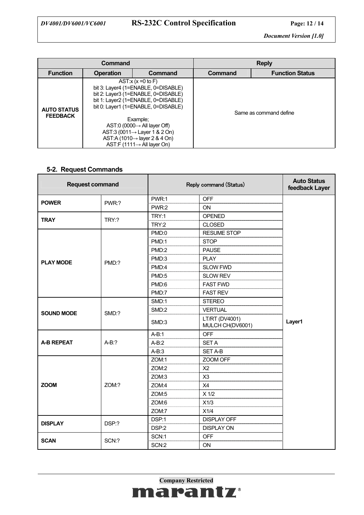# *DV4001/DV6001/VC6001* **RS-232C Control Specification Page: 12 / 14**

*Document Version [1.0]*

| Command                               |                                                                                                                                                                                                                                                                                                                                                                             |         | <b>Reply</b> |                        |
|---------------------------------------|-----------------------------------------------------------------------------------------------------------------------------------------------------------------------------------------------------------------------------------------------------------------------------------------------------------------------------------------------------------------------------|---------|--------------|------------------------|
| <b>Function</b>                       | <b>Operation</b>                                                                                                                                                                                                                                                                                                                                                            | Command | Command      | <b>Function Status</b> |
| <b>AUTO STATUS</b><br><b>FEEDBACK</b> | AST: $x(x=0$ to F)<br>bit 3: Layer4 (1=ENABLE, 0=DISABLE)<br>bit 2: Layer3 (1=ENABLE, 0=DISABLE)<br>bit 1: Layer2 (1=ENABLE, 0=DISABLE)<br>bit 0: Layer1 (1=ENABLE, 0=DISABLE)<br>Example:<br>AST:0 (0000 $\rightarrow$ All layer Off)<br>AST:3 (0011 $\rightarrow$ Layer 1 & 2 On)<br>AST:A (1010 $\rightarrow$ layer 2 & 4 On)<br>AST:F (1111 $\rightarrow$ All layer On) |         |              | Same as command define |

## **5-2. Request Commands**

| <b>Request command</b> |         | Reply command (Status) |                                    | <b>Auto Status</b><br>feedback Layer |
|------------------------|---------|------------------------|------------------------------------|--------------------------------------|
| <b>POWER</b>           | PWR:?   | PWR:1                  | <b>OFF</b>                         |                                      |
|                        |         | PWR:2                  | ON                                 |                                      |
| <b>TRAY</b>            | TRY:?   | TRY:1                  | <b>OPENED</b>                      |                                      |
|                        |         | TRY:2                  | <b>CLOSED</b>                      |                                      |
|                        |         | PMD:0                  | <b>RESUME STOP</b>                 |                                      |
|                        |         | PMD:1                  | <b>STOP</b>                        |                                      |
|                        |         | PMD:2                  | <b>PAUSE</b>                       |                                      |
| <b>PLAY MODE</b>       | PMD:?   | PMD:3                  | <b>PLAY</b>                        |                                      |
|                        |         | PMD:4                  | <b>SLOW FWD</b>                    |                                      |
|                        |         | PMD:5                  | <b>SLOW REV</b>                    |                                      |
|                        |         | PMD:6                  | <b>FAST FWD</b>                    | Layer1                               |
|                        |         | PMD:7                  | <b>FAST REV</b>                    |                                      |
|                        | SMD:?   | SMD:1                  | <b>STEREO</b>                      |                                      |
| <b>SOUND MODE</b>      |         | SMD:2                  | <b>VERTUAL</b>                     |                                      |
|                        |         | SMD:3                  | LT/RT (DV4001)<br>MULCH CH(DV6001) |                                      |
|                        | $A-B:?$ | $A-B:1$                | <b>OFF</b>                         |                                      |
| <b>A-B REPEAT</b>      |         | $A-B:2$                | <b>SET A</b>                       |                                      |
|                        |         | $A-B:3$                | <b>SET A-B</b>                     |                                      |
|                        |         | ZOM:1                  | ZOOM OFF                           |                                      |
|                        | ZOM:?   | ZOM:2                  | X <sub>2</sub>                     |                                      |
|                        |         | ZOM:3                  | X3                                 |                                      |
| <b>ZOOM</b>            |         | ZOM:4                  | X4                                 |                                      |
|                        |         | ZOM:5                  | $X$ 1/2                            |                                      |
|                        |         | ZOM:6                  | X1/3                               |                                      |
|                        |         | ZOM:7                  | X1/4                               |                                      |
| <b>DISPLAY</b>         | DSP:?   | DSP:1                  | <b>DISPLAY OFF</b>                 |                                      |
|                        |         | DSP:2                  | <b>DISPLAY ON</b>                  |                                      |
| <b>SCAN</b>            |         | SCN:1                  | <b>OFF</b>                         |                                      |
|                        | SCN:?   | SCN:2                  | ON                                 |                                      |

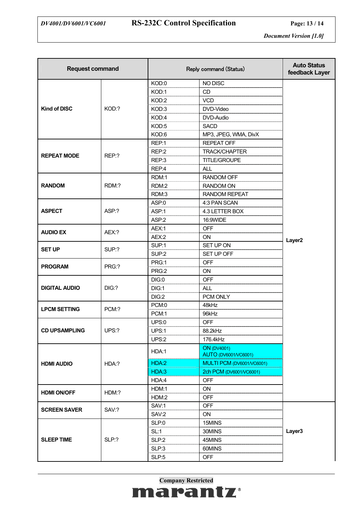| <b>Request command</b> |       | Reply command (Status) |                                                   | <b>Auto Status</b><br>feedback Layer |
|------------------------|-------|------------------------|---------------------------------------------------|--------------------------------------|
|                        |       | KOD:0                  | NO DISC                                           |                                      |
|                        |       | KOD:1                  | CD                                                |                                      |
|                        |       | KOD:2                  | <b>VCD</b>                                        |                                      |
| <b>Kind of DISC</b>    | KOD:? | KOD:3                  | DVD-Video                                         |                                      |
|                        |       | KOD:4                  | DVD-Audio                                         |                                      |
|                        |       | KOD:5                  | <b>SACD</b>                                       |                                      |
|                        |       | KOD:6                  | MP3, JPEG, WMA, DivX                              |                                      |
|                        |       | REP:1                  | <b>REPEAT OFF</b>                                 |                                      |
| <b>REPEAT MODE</b>     | REP:? | REP:2                  | <b>TRACK/CHAPTER</b>                              |                                      |
|                        |       | REP:3                  | TITLE/GROUPE                                      |                                      |
|                        |       | REP:4                  | <b>ALL</b>                                        |                                      |
|                        |       | RDM:1                  | <b>RANDOM OFF</b>                                 |                                      |
| <b>RANDOM</b>          | RDM:? | RDM:2                  | <b>RANDOM ON</b>                                  |                                      |
|                        |       | RDM:3                  | <b>RANDOM REPEAT</b>                              |                                      |
|                        |       | ASP:0                  | 4:3 PAN SCAN                                      |                                      |
| <b>ASPECT</b>          | ASP:? | ASP:1                  | 4.3 LETTER BOX                                    |                                      |
|                        |       | ASP:2                  | 16:9WIDE                                          |                                      |
| <b>AUDIO EX</b>        | AEX:? | AEX:1                  | <b>OFF</b>                                        |                                      |
|                        |       | AEX:2                  | ON                                                | Layer <sub>2</sub>                   |
|                        |       | SUP:1                  | SET UP ON                                         |                                      |
| <b>SET UP</b>          | SUP:? | SUP:2                  | SET UP OFF                                        |                                      |
|                        |       | PRG:1                  | <b>OFF</b>                                        |                                      |
| <b>PROGRAM</b>         | PRG:? | PRG:2                  | ON                                                |                                      |
|                        |       | DIG:0                  | <b>OFF</b>                                        |                                      |
| <b>DIGITAL AUDIO</b>   | DIG:? | DIG:1                  | <b>ALL</b>                                        |                                      |
|                        |       | DIG:2                  | PCM ONLY                                          |                                      |
|                        | PCM:? | PCM:0                  | 48kHz                                             |                                      |
| <b>LPCM SETTING</b>    |       | PCM:1                  | 96kHz                                             |                                      |
|                        |       | UPS:0                  | <b>OFF</b>                                        |                                      |
| <b>CD UPSAMPLING</b>   | UPS:? | UPS:1                  | 88.2kHz                                           |                                      |
|                        |       | UPS:2                  | 176.4kHz                                          |                                      |
| <b>HDMI AUDIO</b>      |       | HDA:1                  | <b>ON</b> (DV4001)<br><b>AUTO (DV6001/VC6001)</b> |                                      |
|                        | HDA:? | HDA:2                  | MULTI PCM (DV6001/VC6001)                         |                                      |
|                        |       | HDA:3                  | 2ch PCM (DV6001/VC6001)                           |                                      |
|                        |       | HDA:4                  | <b>OFF</b>                                        |                                      |
|                        | HDM:? | HDM:1                  | ON                                                |                                      |
| <b>HDMI ON/OFF</b>     |       | HDM:2                  | <b>OFF</b>                                        |                                      |
|                        |       | SAV:1                  | <b>OFF</b>                                        |                                      |
| <b>SCREEN SAVER</b>    | SAV:? | SAV:2                  | ON                                                |                                      |
|                        |       | SLP:0                  | 15MINS                                            |                                      |
|                        |       | SL:1                   | 30MINS                                            | Layer3                               |
| <b>SLEEP TIME</b>      | SLP:? | SLP:2                  | 45MINS                                            |                                      |
|                        |       | SLP:3                  | 60MINS                                            |                                      |
|                        |       | SLP:5                  | <b>OFF</b>                                        |                                      |